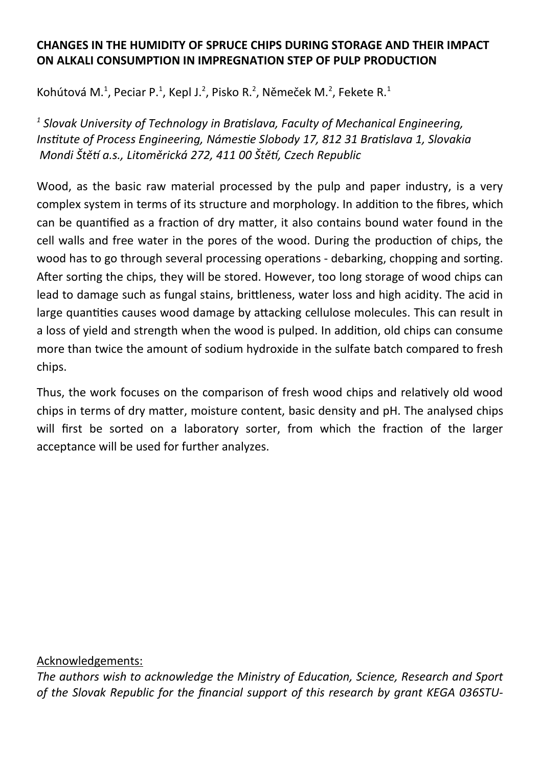## **CHANGES IN THE HUMIDITY OF SPRUCE CHIPS DURING STORAGE AND THEIR IMPACT ON ALKALI CONSUMPTION IN IMPREGNATION STEP OF PULP PRODUCTION**

Kohútová M.<sup>1</sup>, Peciar P.<sup>1</sup>, Kepl J.<sup>2</sup>, Pisko R.<sup>2</sup>, Němeček M.<sup>2</sup>, Fekete R.<sup>1</sup>

*1 Slovak University of Technology in Bratislava, Faculty of Mechanical Engineering, Institute of Process Engineering, Námestie Slobody 17, 812 31 Bratislava 1, Slovakia Mondi Štětí a.s., Litoměrická 272, 411 00 Štětí, Czech Republic* 

Wood, as the basic raw material processed by the pulp and paper industry, is a very complex system in terms of its structure and morphology. In addition to the fibres, which can be quantified as a fraction of dry matter, it also contains bound water found in the cell walls and free water in the pores of the wood. During the production of chips, the wood has to go through several processing operations - debarking, chopping and sorting. After sorting the chips, they will be stored. However, too long storage of wood chips can lead to damage such as fungal stains, brittleness, water loss and high acidity. The acid in large quantities causes wood damage by attacking cellulose molecules. This can result in a loss of yield and strength when the wood is pulped. In addition, old chips can consume more than twice the amount of sodium hydroxide in the sulfate batch compared to fresh chips.

Thus, the work focuses on the comparison of fresh wood chips and relatively old wood chips in terms of dry matter, moisture content, basic density and pH. The analysed chips will first be sorted on a laboratory sorter, from which the fraction of the larger acceptance will be used for further analyzes.

## Acknowledgements:

*The authors wish to acknowledge the Ministry of Education, Science, Research and Sport of the Slovak Republic for the financial support of this research by grant KEGA 036STU-*